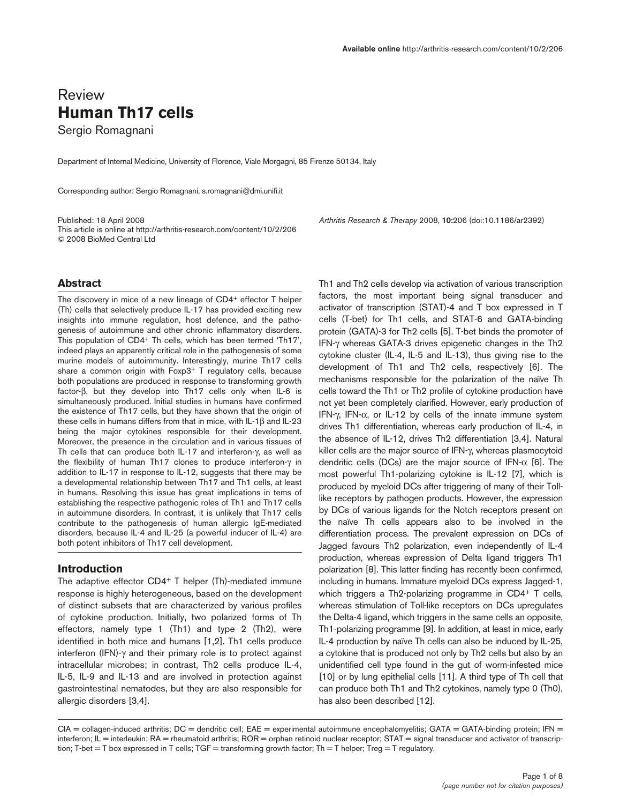# Review **Human Th17 cells**

Sergio Romagnani

Department of Internal Medicine, University of Florence, Viale Morgagni, 85 Firenze 50134, Italy

Corresponding author: Sergio Romagnani, s.romagnani@dmi.unifi.it

This article is online at http://arthritis-research.com/content/10/2/206 © 2008 BioMed Central Ltd

Published: 18 April 2008 *Arthritis Research & Therapy* 2008, **10:**206 (doi:10.1186/ar2392)

## **Abstract**

The discovery in mice of a new lineage of CD4+ effector T helper (Th) cells that selectively produce IL-17 has provided exciting new insights into immune regulation, host defence, and the pathogenesis of autoimmune and other chronic inflammatory disorders. This population of CD4+ Th cells, which has been termed 'Th17', indeed plays an apparently critical role in the pathogenesis of some murine models of autoimmunity. Interestingly, murine Th17 cells share a common origin with Foxp3<sup>+</sup> T regulatory cells, because both populations are produced in response to transforming growth factor-β, but they develop into Th17 cells only when IL-6 is simultaneously produced. Initial studies in humans have confirmed the existence of Th17 cells, but they have shown that the origin of these cells in humans differs from that in mice, with IL-1β and IL-23 being the major cytokines responsible for their development. Moreover, the presence in the circulation and in various tissues of Th cells that can produce both IL-17 and interferon-γ, as well as the flexibility of human Th17 clones to produce interferon-γ in addition to IL-17 in response to IL-12, suggests that there may be a developmental relationship between Th17 and Th1 cells, at least in humans. Resolving this issue has great implications in tems of establishing the respective pathogenic roles of Th1 and Th17 cells in autoimmune disorders. In contrast, it is unlikely that Th17 cells contribute to the pathogenesis of human allergic IgE-mediated disorders, because IL-4 and IL-25 (a powerful inducer of IL-4) are both potent inhibitors of Th17 cell development.

## **Introduction**

The adaptive effector CD4<sup>+</sup> T helper (Th)-mediated immune response is highly heterogeneous, based on the development of distinct subsets that are characterized by various profiles of cytokine production. Initially, two polarized forms of Th effectors, namely type 1 (Th1) and type 2 (Th2), were identified in both mice and humans [1,2]. Th1 cells produce interferon (IFN)-γ and their primary role is to protect against intracellular microbes; in contrast, Th2 cells produce IL-4, IL-5, IL-9 and IL-13 and are involved in protection against gastrointestinal nematodes, but they are also responsible for allergic disorders [3,4].

Th1 and Th2 cells develop via activation of various transcription factors, the most important being signal transducer and activator of transcription (STAT)-4 and T box expressed in T cells (T-bet) for Th1 cells, and STAT-6 and GATA-binding protein (GATA)-3 for Th2 cells [5]. T-bet binds the promoter of IFN-γ whereas GATA-3 drives epigenetic changes in the Th2 cytokine cluster (IL-4, IL-5 and IL-13), thus giving rise to the development of Th1 and Th2 cells, respectively [6]. The mechanisms responsible for the polarization of the naïve Th cells toward the Th1 or Th2 profile of cytokine production have not yet been completely clarified. However, early production of IFN-γ, IFN-α, or IL-12 by cells of the innate immune system drives Th1 differentiation, whereas early production of IL-4, in the absence of IL-12, drives Th2 differentiation [3,4]. Natural killer cells are the major source of IFN-γ, whereas plasmocytoid dendritic cells (DCs) are the major source of IFN-α [6]. The most powerful Th1-polarizing cytokine is IL-12 [7], which is produced by myeloid DCs after triggering of many of their Tolllike receptors by pathogen products. However, the expression by DCs of various ligands for the Notch receptors present on the naïve Th cells appears also to be involved in the differentiation process. The prevalent expression on DCs of Jagged favours Th2 polarization, even independently of IL-4 production, whereas expression of Delta ligand triggers Th1 polarization [8]. This latter finding has recently been confirmed, including in humans. Immature myeloid DCs express Jagged-1, which triggers a Th2-polarizing programme in CD4+ T cells, whereas stimulation of Toll-like receptors on DCs upregulates the Delta-4 ligand, which triggers in the same cells an opposite, Th1-polarizing programme [9]. In addition, at least in mice, early IL-4 production by naïve Th cells can also be induced by IL-25, a cytokine that is produced not only by Th2 cells but also by an unidentified cell type found in the gut of worm-infested mice [10] or by lung epithelial cells [11]. A third type of Th cell that can produce both Th1 and Th2 cytokines, namely type 0 (Th0), has also been described [12].

 $CIA =$  collagen-induced arthritis;  $DC =$  dendritic cell;  $EAE =$  experimental autoimmune encephalomyelitis;  $GATA = GATA$ -binding protein; IFN = interferon; IL = interleukin; RA = rheumatoid arthritis; ROR = orphan retinoid nuclear receptor; STAT = signal transducer and activator of transcription; T-bet = T box expressed in T cells; TGF = transforming growth factor; Th = T helper; Treg = T regulatory.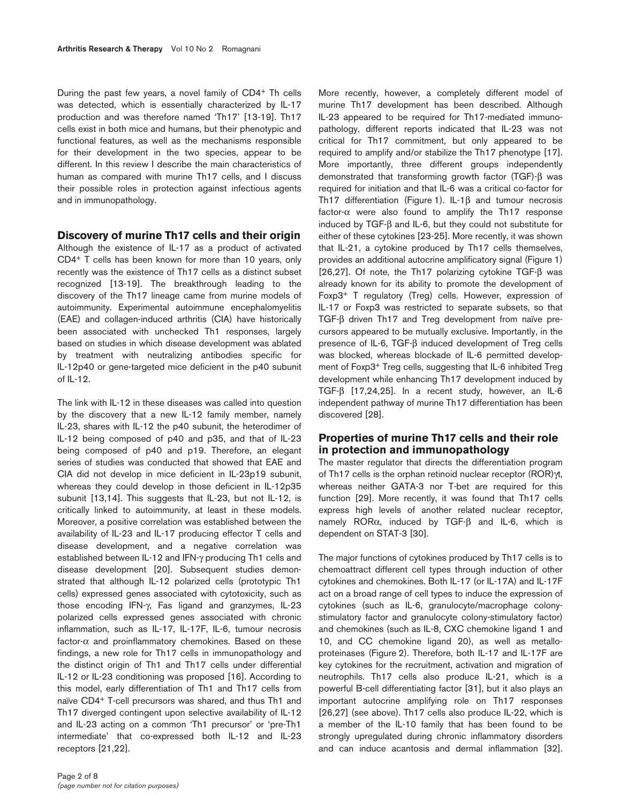During the past few years, a novel family of CD4+ Th cells was detected, which is essentially characterized by IL-17 production and was therefore named 'Th17' [13-19]. Th17 cells exist in both mice and humans, but their phenotypic and functional features, as well as the mechanisms responsible for their development in the two species, appear to be different. In this review I describe the main characteristics of human as compared with murine Th17 cells, and I discuss their possible roles in protection against infectious agents and in immunopathology.

#### **Discovery of murine Th17 cells and their origin**

Although the existence of IL-17 as a product of activated CD4+ T cells has been known for more than 10 years, only recently was the existence of Th17 cells as a distinct subset recognized [13-19]. The breakthrough leading to the discovery of the Th17 lineage came from murine models of autoimmunity. Experimental autoimmune encephalomyelitis (EAE) and collagen-induced arthritis (CIA) have historically been associated with unchecked Th1 responses, largely based on studies in which disease development was ablated by treatment with neutralizing antibodies specific for IL-12p40 or gene-targeted mice deficient in the p40 subunit of IL-12.

The link with IL-12 in these diseases was called into question by the discovery that a new IL-12 family member, namely IL-23, shares with IL-12 the p40 subunit, the heterodimer of IL-12 being composed of p40 and p35, and that of IL-23 being composed of p40 and p19. Therefore, an elegant series of studies was conducted that showed that EAE and CIA did not develop in mice deficient in IL-23p19 subunit, whereas they could develop in those deficient in IL-12p35 subunit [13,14]. This suggests that IL-23, but not IL-12, is critically linked to autoimmunity, at least in these models. Moreover, a positive correlation was established between the availability of IL-23 and IL-17 producing effector T cells and disease development, and a negative correlation was established between IL-12 and IFN-γ producing Th1 cells and disease development [20]. Subsequent studies demonstrated that although IL-12 polarized cells (prototypic Th1 cells) expressed genes associated with cytotoxicity, such as those encoding IFN-γ, Fas ligand and granzymes, IL-23 polarized cells expressed genes associated with chronic inflammation, such as IL-17, IL-17F, IL-6, tumour necrosis factor- $\alpha$  and proinflammatory chemokines. Based on these findings, a new role for Th17 cells in immunopathology and the distinct origin of Th1 and Th17 cells under differential IL-12 or IL-23 conditioning was proposed [16]. According to this model, early differentiation of Th1 and Th17 cells from naïve CD4+ T-cell precursors was shared, and thus Th1 and Th17 diverged contingent upon selective availability of IL-12 and IL-23 acting on a common 'Th1 precursor' or 'pre-Th1 intermediate' that co-expressed both IL-12 and IL-23 receptors [21,22].

More recently, however, a completely different model of murine Th17 development has been described. Although IL-23 appeared to be required for Th17-mediated immunopathology, different reports indicated that IL-23 was not critical for Th17 commitment, but only appeared to be required to amplify and/or stabilize the Th17 phenotype [17]. More importantly, three different groups independently demonstrated that transforming growth factor (TGF)-β was required for initiation and that IL-6 was a critical co-factor for Th17 differentiation (Figure 1). IL-1β and tumour necrosis factor- $\alpha$  were also found to amplify the Th17 response induced by TGF-β and IL-6, but they could not substitute for either of these cytokines [23-25]. More recently, it was shown that IL-21, a cytokine produced by Th17 cells themselves, provides an additional autocrine amplificatory signal (Figure 1) [26,27]. Of note, the Th17 polarizing cytokine TGF-β was already known for its ability to promote the development of Foxp3+ T regulatory (Treg) cells. However, expression of IL-17 or Foxp3 was restricted to separate subsets, so that TGF-β driven Th17 and Treg development from naïve precursors appeared to be mutually exclusive. Importantly, in the presence of IL-6, TGF-β induced development of Treg cells was blocked, whereas blockade of IL-6 permitted development of Foxp3+ Treg cells, suggesting that IL-6 inhibited Treg development while enhancing Th17 development induced by TGF-β [17,24,25]. In a recent study, however, an IL-6 independent pathway of murine Th17 differentiation has been discovered [28].

# **Properties of murine Th17 cells and their role in protection and immunopathology**

The master regulator that directs the differentiation program of Th17 cells is the orphan retinoid nuclear receptor (ROR)γt, whereas neither GATA-3 nor T-bet are required for this function [29]. More recently, it was found that Th17 cells express high levels of another related nuclear receptor, namely RORα, induced by TGF-β and IL-6, which is dependent on STAT-3 [30].

The major functions of cytokines produced by Th17 cells is to chemoattract different cell types through induction of other cytokines and chemokines. Both IL-17 (or IL-17A) and IL-17F act on a broad range of cell types to induce the expression of cytokines (such as IL-6, granulocyte/macrophage colonystimulatory factor and granulocyte colony-stimulatory factor) and chemokines (such as IL-8, CXC chemokine ligand 1 and 10, and CC chemokine ligand 20), as well as metalloproteinases (Figure 2). Therefore, both IL-17 and IL-17F are key cytokines for the recruitment, activation and migration of neutrophils. Th17 cells also produce IL-21, which is a powerful B-cell differentiating factor [31], but it also plays an important autocrine amplifying role on Th17 responses [26,27] (see above). Th17 cells also produce IL-22, which is a member of the IL-10 family that has been found to be strongly upregulated during chronic inflammatory disorders and can induce acantosis and dermal inflammation [32].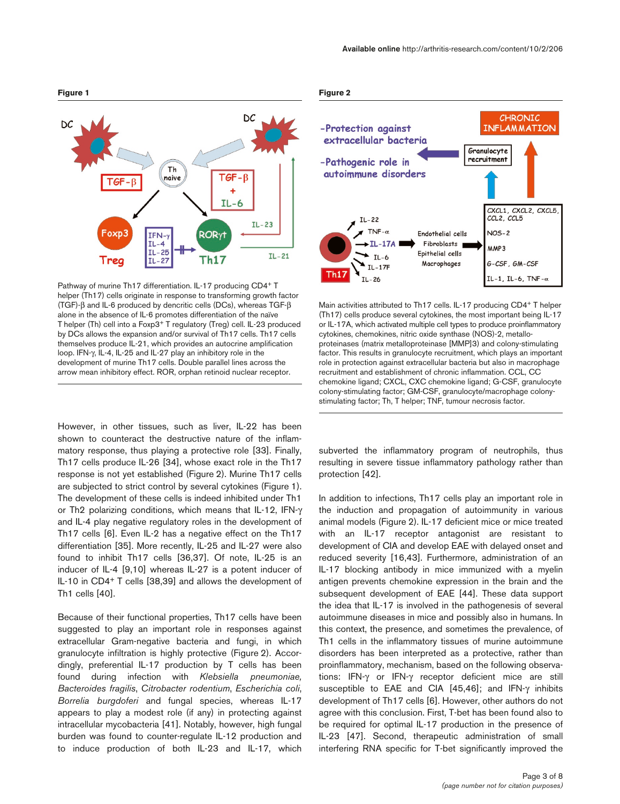

Pathway of murine Th17 differentiation. IL-17 producing CD4+ T helper (Th17) cells originate in response to transforming growth factor (TGF)-β and IL-6 produced by dencritic cells (DCs), whereas TGF-β alone in the absence of IL-6 promotes differentiation of the naïve T helper (Th) cell into a Foxp3+ T regulatory (Treg) cell. IL-23 produced by DCs allows the expansion and/or survival of Th17 cells. Th17 cells themselves produce IL-21, which provides an autocrine amplification loop. IFN-γ, IL-4, IL-25 and IL-27 play an inhibitory role in the development of murine Th17 cells. Double parallel lines across the arrow mean inhibitory effect. ROR, orphan retinoid nuclear receptor.

However, in other tissues, such as liver, IL-22 has been shown to counteract the destructive nature of the inflammatory response, thus playing a protective role [33]. Finally, Th17 cells produce IL-26 [34], whose exact role in the Th17 response is not yet established (Figure 2). Murine Th17 cells are subjected to strict control by several cytokines (Figure 1). The development of these cells is indeed inhibited under Th1 or Th2 polarizing conditions, which means that IL-12, IFN-γ and IL-4 play negative regulatory roles in the development of Th17 cells [6]. Even IL-2 has a negative effect on the Th17 differentiation [35]. More recently, IL-25 and IL-27 were also found to inhibit Th17 cells [36,37]. Of note, IL-25 is an inducer of IL-4 [9,10] whereas IL-27 is a potent inducer of IL-10 in CD4+ T cells [38,39] and allows the development of Th1 cells [40].

Because of their functional properties, Th17 cells have been suggested to play an important role in responses against extracellular Gram-negative bacteria and fungi, in which granulocyte infiltration is highly protective (Figure 2). Accordingly, preferential IL-17 production by T cells has been found during infection with *Klebsiella pneumoniae, Bacteroides fragilis*, *Citrobacter rodentium*, *Escherichia coli*, *Borrelia burgdoferi* and fungal species, whereas IL-17 appears to play a modest role (if any) in protecting against intracellular mycobacteria [41]. Notably, however, high fungal burden was found to counter-regulate IL-12 production and to induce production of both IL-23 and IL-17, which

#### **Figure 2**



Main activities attributed to Th17 cells. IL-17 producing CD4+ T helper (Th17) cells produce several cytokines, the most important being IL-17 or IL-17A, which activated multiple cell types to produce proinflammatory cytokines, chemokines, nitric oxide synthase (NOS)-2, metalloproteinases (matrix metalloproteinase [MMP]3) and colony-stimulating factor. This results in granulocyte recruitment, which plays an important role in protection against extracellular bacteria but also in macrophage recruitment and establishment of chronic inflammation. CCL, CC chemokine ligand; CXCL, CXC chemokine ligand; G-CSF, granulocyte colony-stimulating factor; GM-CSF, granulocyte/macrophage colonystimulating factor; Th, T helper; TNF, tumour necrosis factor.

subverted the inflammatory program of neutrophils, thus resulting in severe tissue inflammatory pathology rather than protection [42].

In addition to infections, Th17 cells play an important role in the induction and propagation of autoimmunity in various animal models (Figure 2). IL-17 deficient mice or mice treated with an IL-17 receptor antagonist are resistant to development of CIA and develop EAE with delayed onset and reduced severity [16,43]. Furthermore, administration of an IL-17 blocking antibody in mice immunized with a myelin antigen prevents chemokine expression in the brain and the subsequent development of EAE [44]. These data support the idea that IL-17 is involved in the pathogenesis of several autoimmune diseases in mice and possibly also in humans. In this context, the presence, and sometimes the prevalence, of Th1 cells in the inflammatory tissues of murine autoimmune disorders has been interpreted as a protective, rather than proinflammatory, mechanism, based on the following observations: IFN-γ or IFN-γ receptor deficient mice are still susceptible to EAE and CIA [45,46]; and IFN-γ inhibits development of Th17 cells [6]. However, other authors do not agree with this conclusion. First, T-bet has been found also to be required for optimal IL-17 production in the presence of IL-23 [47]. Second, therapeutic administration of small interfering RNA specific for T-bet significantly improved the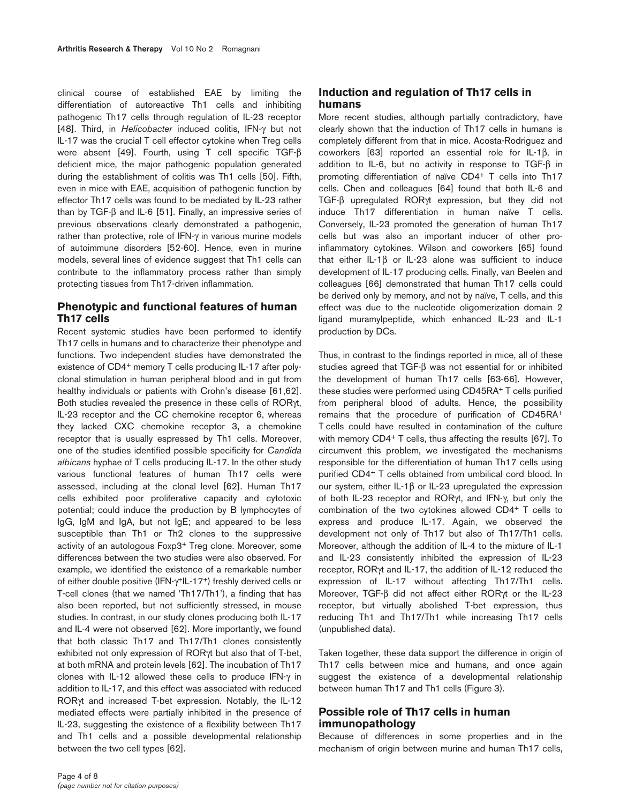clinical course of established EAE by limiting the differentiation of autoreactive Th1 cells and inhibiting pathogenic Th17 cells through regulation of IL-23 receptor [48]. Third, in *Helicobacter* induced colitis, IFN-γ but not IL-17 was the crucial T cell effector cytokine when Treg cells were absent [49]. Fourth, using T cell specific TGF-β deficient mice, the major pathogenic population generated during the establishment of colitis was Th1 cells [50]. Fifth, even in mice with EAE, acquisition of pathogenic function by effector Th17 cells was found to be mediated by IL-23 rather than by TGF-β and IL-6 [51]. Finally, an impressive series of previous observations clearly demonstrated a pathogenic, rather than protective, role of IFN-γ in various murine models of autoimmune disorders [52-60]. Hence, even in murine models, several lines of evidence suggest that Th1 cells can contribute to the inflammatory process rather than simply protecting tissues from Th17-driven inflammation.

# **Phenotypic and functional features of human Th17 cells**

Recent systemic studies have been performed to identify Th17 cells in humans and to characterize their phenotype and functions. Two independent studies have demonstrated the existence of CD4+ memory T cells producing IL-17 after polyclonal stimulation in human peripheral blood and in gut from healthy individuals or patients with Crohn's disease [61,62]. Both studies revealed the presence in these cells of RORγt, IL-23 receptor and the CC chemokine receptor 6, whereas they lacked CXC chemokine receptor 3, a chemokine receptor that is usually espressed by Th1 cells. Moreover, one of the studies identified possible specificity for *Candida albicans* hyphae of T cells producing IL-17. In the other study various functional features of human Th17 cells were assessed, including at the clonal level [62]. Human Th17 cells exhibited poor proliferative capacity and cytotoxic potential; could induce the production by B lymphocytes of IgG, IgM and IgA, but not IgE; and appeared to be less susceptible than Th1 or Th2 clones to the suppressive activity of an autologous Foxp3+ Treg clone. Moreover, some differences between the two studies were also observed. For example, we identified the existence of a remarkable number of either double positive (IFN-γ+IL-17+) freshly derived cells or T-cell clones (that we named 'Th17/Th1'), a finding that has also been reported, but not sufficiently stressed, in mouse studies. In contrast, in our study clones producing both IL-17 and IL-4 were not observed [62]. More importantly, we found that both classic Th17 and Th17/Th1 clones consistently exhibited not only expression of RORγt but also that of T-bet, at both mRNA and protein levels [62]. The incubation of Th17 clones with IL-12 allowed these cells to produce IFN-γ in addition to IL-17, and this effect was associated with reduced RORγt and increased T-bet expression. Notably, the IL-12 mediated effects were partially inhibited in the presence of IL-23, suggesting the existence of a flexibility between Th17 and Th1 cells and a possible developmental relationship between the two cell types [62].

More recent studies, although partially contradictory, have clearly shown that the induction of Th17 cells in humans is completely different from that in mice. Acosta-Rodriguez and coworkers [63] reported an essential role for IL-1β, in addition to IL-6, but no activity in response to TGF-β in promoting differentiation of naïve CD4+ T cells into Th17 cells. Chen and colleagues [64] found that both IL-6 and TGF-β upregulated RORγt expression, but they did not induce Th17 differentiation in human naïve T cells. Conversely, IL-23 promoted the generation of human Th17 cells but was also an important inducer of other proinflammatory cytokines. Wilson and coworkers [65] found that either IL-1β or IL-23 alone was sufficient to induce development of IL-17 producing cells. Finally, van Beelen and colleagues [66] demonstrated that human Th17 cells could be derived only by memory, and not by naïve, T cells, and this effect was due to the nucleotide oligomerization domain 2 ligand muramylpeptide, which enhanced IL-23 and IL-1 production by DCs.

Thus, in contrast to the findings reported in mice, all of these studies agreed that TGF-β was not essential for or inhibited the development of human Th17 cells [63-66]. However, these studies were performed using CD45RA+ T cells purified from peripheral blood of adults. Hence, the possibility remains that the procedure of purification of CD45RA+ T cells could have resulted in contamination of the culture with memory CD4<sup>+</sup> T cells, thus affecting the results [67]. To circumvent this problem, we investigated the mechanisms responsible for the differentiation of human Th17 cells using purified CD4+ T cells obtained from umbilical cord blood. In our system, either IL-1β or IL-23 upregulated the expression of both IL-23 receptor and RORγt, and IFN-γ, but only the combination of the two cytokines allowed CD4+ T cells to express and produce IL-17. Again, we observed the development not only of Th17 but also of Th17/Th1 cells. Moreover, although the addition of IL-4 to the mixture of IL-1 and IL-23 consistently inhibited the expression of IL-23 receptor, RORγt and IL-17, the addition of IL-12 reduced the expression of IL-17 without affecting Th17/Th1 cells. Moreover, TGF-β did not affect either RORγt or the IL-23 receptor, but virtually abolished T-bet expression, thus reducing Th1 and Th17/Th1 while increasing Th17 cells (unpublished data).

Taken together, these data support the difference in origin of Th17 cells between mice and humans, and once again suggest the existence of a developmental relationship between human Th17 and Th1 cells (Figure 3).

# **Possible role of Th17 cells in human immunopathology**

Because of differences in some properties and in the mechanism of origin between murine and human Th17 cells,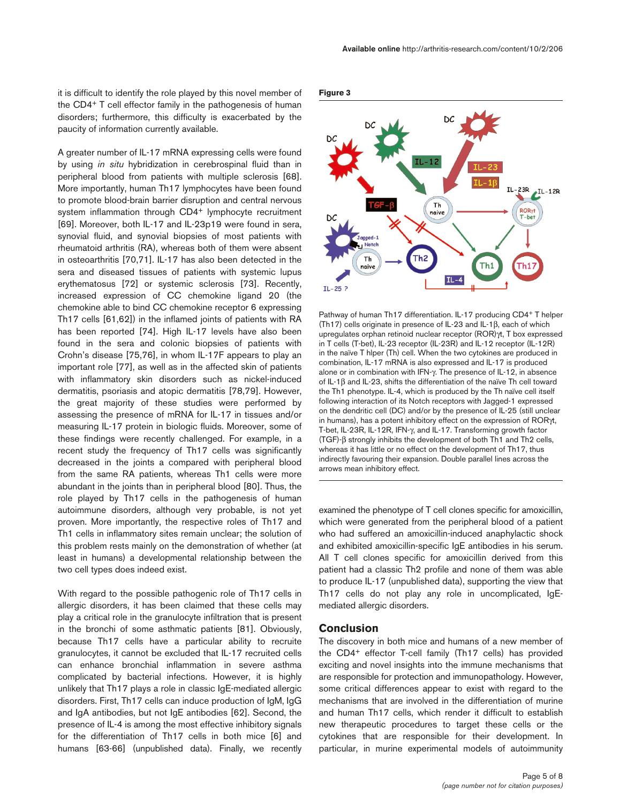it is difficult to identify the role played by this novel member of the CD4+ T cell effector family in the pathogenesis of human disorders; furthermore, this difficulty is exacerbated by the paucity of information currently available.

A greater number of IL-17 mRNA expressing cells were found by using *in situ* hybridization in cerebrospinal fluid than in peripheral blood from patients with multiple sclerosis [68]. More importantly, human Th17 lymphocytes have been found to promote blood-brain barrier disruption and central nervous system inflammation through CD4<sup>+</sup> lymphocyte recruitment [69]. Moreover, both IL-17 and IL-23p19 were found in sera, synovial fluid, and synovial biopsies of most patients with rheumatoid arthritis (RA), whereas both of them were absent in osteoarthritis [70,71]. IL-17 has also been detected in the sera and diseased tissues of patients with systemic lupus erythematosus [72] or systemic sclerosis [73]. Recently, increased expression of CC chemokine ligand 20 (the chemokine able to bind CC chemokine receptor 6 expressing Th17 cells [61,62]) in the inflamed joints of patients with RA has been reported [74]. High IL-17 levels have also been found in the sera and colonic biopsies of patients with Crohn's disease [75,76], in whom IL-17F appears to play an important role [77], as well as in the affected skin of patients with inflammatory skin disorders such as nickel-induced dermatitis, psoriasis and atopic dermatitis [78,79]. However, the great majority of these studies were performed by assessing the presence of mRNA for IL-17 in tissues and/or measuring IL-17 protein in biologic fluids. Moreover, some of these findings were recently challenged. For example, in a recent study the frequency of Th17 cells was significantly decreased in the joints a compared with peripheral blood from the same RA patients, whereas Th1 cells were more abundant in the joints than in peripheral blood [80]. Thus, the role played by Th17 cells in the pathogenesis of human autoimmune disorders, although very probable, is not yet proven. More importantly, the respective roles of Th17 and Th1 cells in inflammatory sites remain unclear; the solution of this problem rests mainly on the demonstration of whether (at least in humans) a developmental relationship between the two cell types does indeed exist.

With regard to the possible pathogenic role of Th17 cells in allergic disorders, it has been claimed that these cells may play a critical role in the granulocyte infiltration that is present in the bronchi of some asthmatic patients [81]. Obviously, because Th17 cells have a particular ability to recruite granulocytes, it cannot be excluded that IL-17 recruited cells can enhance bronchial inflammation in severe asthma complicated by bacterial infections. However, it is highly unlikely that Th17 plays a role in classic IgE-mediated allergic disorders. First, Th17 cells can induce production of IgM, IgG and IgA antibodies, but not IgE antibodies [62]. Second, the presence of IL-4 is among the most effective inhibitory signals for the differentiation of Th17 cells in both mice [6] and humans [63-66] (unpublished data). Finally, we recently





Pathway of human Th17 differentiation. IL-17 producing CD4+ T helper (Th17) cells originate in presence of IL-23 and IL-1β, each of which upregulates orphan retinoid nuclear receptor (ROR)γt, T box expressed in T cells (T-bet), IL-23 receptor (IL-23R) and IL-12 receptor (IL-12R) in the naïve T hlper (Th) cell. When the two cytokines are produced in combination, IL-17 mRNA is also expressed and IL-17 is produced alone or in combination with IFN-γ. The presence of IL-12, in absence of IL-1β and IL-23, shifts the differentiation of the naïve Th cell toward the Th1 phenotype. IL-4, which is produced by the Th naïve cell itself following interaction of its Notch receptors with Jagged-1 expressed on the dendritic cell (DC) and/or by the presence of IL-25 (still unclear in humans), has a potent inhibitory effect on the expression of RORγt, T-bet, IL-23R, IL-12R, IFN-γ, and IL-17. Transforming growth factor (TGF)-β strongly inhibits the development of both Th1 and Th2 cells, whereas it has little or no effect on the development of Th17, thus indirectly favouring their expansion. Double parallel lines across the arrows mean inhibitory effect.

examined the phenotype of T cell clones specific for amoxicillin, which were generated from the peripheral blood of a patient who had suffered an amoxicillin-induced anaphylactic shock and exhibited amoxicillin-specific IgE antibodies in his serum. All T cell clones specific for amoxicillin derived from this patient had a classic Th2 profile and none of them was able to produce IL-17 (unpublished data), supporting the view that Th17 cells do not play any role in uncomplicated, IgEmediated allergic disorders.

## **Conclusion**

The discovery in both mice and humans of a new member of the CD4+ effector T-cell family (Th17 cells) has provided exciting and novel insights into the immune mechanisms that are responsible for protection and immunopathology. However, some critical differences appear to exist with regard to the mechanisms that are involved in the differentiation of murine and human Th17 cells, which render it difficult to establish new therapeutic procedures to target these cells or the cytokines that are responsible for their development. In particular, in murine experimental models of autoimmunity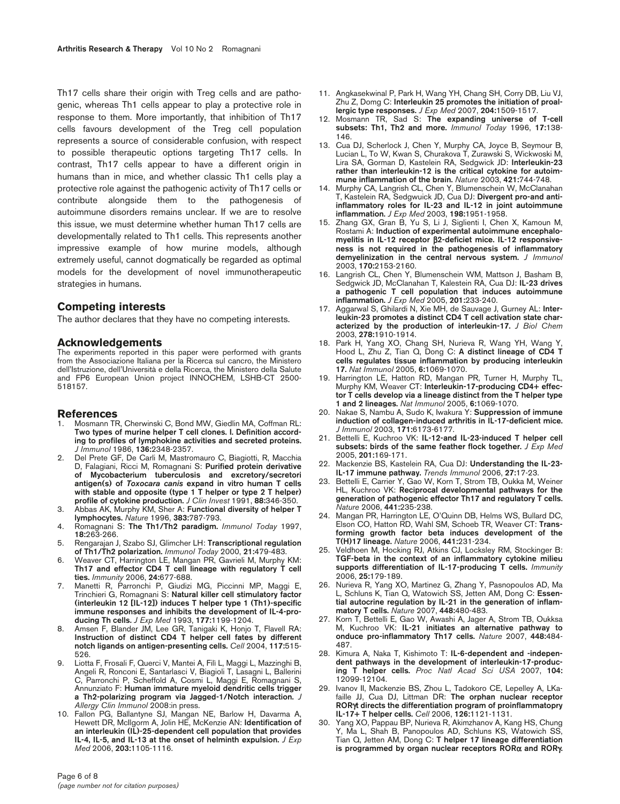Th17 cells share their origin with Treg cells and are pathogenic, whereas Th1 cells appear to play a protective role in response to them. More importantly, that inhibition of Th17 cells favours development of the Treg cell population represents a source of considerable confusion, with respect to possible therapeutic options targeting Th17 cells. In contrast, Th17 cells appear to have a different origin in humans than in mice, and whether classic Th1 cells play a protective role against the pathogenic activity of Th17 cells or contribute alongside them to the pathogenesis of autoimmune disorders remains unclear. If we are to resolve this issue, we must determine whether human Th17 cells are developmentally related to Th1 cells. This represents another impressive example of how murine models, although extremely useful, cannot dogmatically be regarded as optimal models for the development of novel immunotherapeutic strategies in humans.

## **Competing interests**

The author declares that they have no competing interests.

#### **Acknowledgements**

The experiments reported in this paper were performed with grants from the Associazione Italiana per la Ricerca sul cancro, the Ministero dell'Istruzione, dell'Università e della Ricerca, the Ministero della Salute and FP6 European Union project INNOCHEM, LSHB-CT 2500- 518157.

#### **References**

- 1. Mosmann TR, Cherwinski C, Bond MW, Giedlin MA, Coffman RL: **Two types of murine helper T cell clones. I. Definition according to profiles of lymphokine activities and secreted proteins.** *J Immunol* 1986, **136:**2348-2357.
- 2. Del Prete GF, De Carli M, Mastromauro C, Biagiotti, R, Macchia D, Falagiani, Ricci M, Romagnani S: **Purified protein derivative of Mycobacterium tuberculosis and excretory/secretori antigen(s) of** *Toxocara canis* **expand in vitro human T cells with stable and opposite (type 1 T helper or type 2 T helper) profile of cytokine production.** *J Clin Invest* 1991, **88:**346-350.
- 3. Abbas AK, Murphy KM, Sher A: **Functional diversity of helper T lymphocytes.** *Nature* 1996, **383:**787-793.
- 4. Romagnani S: **The Th1/Th2 paradigm.** *Immunol Today* 1997, **18:**263-266.
- 5. Rengarajan J, Szabo SJ, Glimcher LH: **Transcriptional regulation of Th1/Th2 polarization.** *Immunol Today* 2000, **21:**479-483.
- 6. Weaver CT, Harrington LE, Mangan PR, Gavrieli M, Murphy KM: **Th17 and effector CD4 T cell lineage with regulatory T cell ties.** *Immunity* 2006, **24:**677-688.
- 7. Manetti R, Parronchi P, Giudizi MG, Piccinni MP, Maggi E, Trinchieri G, Romagnani S: **Natural killer cell stimulatory factor (interleukin 12 [IL-12]) induces T helper type 1 (Th1)-specific immune responses and inhibits the development of IL-4-producing Th cells.** *J Exp Med* 1993, **177:**1199-1204.
- 8. Amsen F, Blander JM, Lee GR, Tanigaki K, Honjo T, Flavell RA: **Instruction of distinct CD4 T helper cell fates by different notch ligands on antigen-presenting cells.** *Cell* 2004, **117:**515- 526.
- Liotta F, Frosali F, Querci V, Mantei A, Filì L, Maggi L, Mazzinghi B, Angeli R, Ronconi E, Santarlasci V, Biagioli T, Lasagni L, Ballerini C, Parronchi P, Scheffold A, Cosmi L, Maggi E, Romagnani S, Annunziato F: **Human immature myeloid dendritic cells trigger a Th2-polarizing program via Jagged-1/Notch interaction.** *J Allergy Clin Immunol* 2008:in press.
- 10. Fallon PG, Ballantyne SJ, Mangan NE, Barlow H, Davarma A, Hewett DR, McIlgorm A, Jolin HE, McKenzie AN: **Identification of an interleukin (IL)-25-dependent cell population that provides IL-4, IL-5, and IL-13 at the onset of helminth expulsion.** *J Exp Med* 2006, **203:**1105-1116.
- 11. Angkasekwinal P, Park H, Wang YH, Chang SH, Corry DB, Liu VJ, Zhu Z, Domg C: **Interleukin 25 promotes the initiation of proallergic type responses.** *J Exp Med* 2007, **204:**1509-1517.
- 12. Mosmann TR, Sad S: **The expanding universe of T-cell subsets: Th1, Th2 and more.** *Immunol Today* 1996, **17:**138- 146.
- 13. Cua DJ, Scherlock J, Chen Y, Murphy CA, Joyce B, Seymour B, Lucian L, To W, Kwan S, Churakova T, Zurawski S, Wickwoski M, Lira SA, Gorman D, Kastelein RA, Sedgwick JD: **Interleukin-23 rather than interleukin-12 is the critical cytokine for autoimmune inflammation of the brain.** *Nature* 2003, **421:**744-748.
- 14. Murphy CA, Langrish CL, Chen Y, Blumenschein W, McClanahan T, Kastelein RA, Sedgwuick JD, Cua DJ: **Divergent pro-and antiinflammatory roles for IL-23 and IL-12 in joint autoimmune inflammation.** *J Exp Med* 2003, **198:**1951-1958.
- 15. Zhang GX, Gran B, Yu S, Li J, Siglienti I, Chen X, Kamoun M, Rostami A: **Induction of experimental autoimmune encephalomyelitis in IL-12 receptor** β**2-deficiet mice. IL-12 responsiveness is not required in the pathogenesis of inflammatory demyelinization in the central nervous system.** *J Immunol* 2003, **170:**2153-2160.
- 16. Langrish CL, Chen Y, Blumenschein WM, Mattson J, Basham B, Sedgwick JD, McClanahan T, Kalestein RA, Cua DJ: **IL-23 drives a pathogenic T cell population that induces autoimmune inflammation.** *J Exp Med* 2005, **201:**233-240.
- 17. Aggarwal S, Ghilardi N, Xie MH, de Sauvage J, Gurney AL: **Interleukin-23 promotes a distinct CD4 T cell activation state characterized by the production of interleukin-17.** *J Biol Chem* 2003, **278:**1910-1914.
- 18. Park H, Yang XO, Chang SH, Nurieva R, Wang YH, Wang Y, Hood L, Zhu Z, Tian Q, Dong C: **A distinct lineage of CD4 T cells regulates tissue inflammation by producing interleukin 17.** *Nat Immunol* 2005, **6:**1069-1070.
- 19. Harrington LE, Hatton RD, Mangan PR, Turner H, Murphy TL, Murphy KM, Weaver CT: **Interleukin-17-producing CD4+ effector T cells develop via a lineage distinct from the T helper type 1 and 2 lineages.** *Nat Immunol* 2005, **6:**1069-1070.
- 20. Nakae S, Nambu A, Sudo K, Iwakura Y: **Suppression of immune induction of collagen-induced arthritis in IL-17-deficient mice.** *J Immunol* 2003, **171:**6173-6177.
- 21. Bettelli E, Kuchroo VK: **IL-12-and IL-23-induced T helper cell subsets: birds of the same feather flock together.** *J Exp Med* 2005, **201:**169-171.
- 22. Mackenzie BS, Kastelein RA, Cua DJ: **Understanding the IL-23- IL-17 immune pathway.** *Trends Immunol* 2006, **27:**17-23.
- 23. Bettelli E, Carrier Y, Gao W, Korn T, Strom TB, Oukka M, Weiner HL, Kuchroo VK: **Reciprocal developmental pathways for the generation of pathogenic effector Th17 and regulatory T cells.** *Nature* 2006, **441:**235-238.
- 24. Mangan PR, Harrington LE, O'Quinn DB, Helms WS, Bullard DC, Elson CO, Hatton RD, Wahl SM, Schoeb TR, Weaver CT: **Transforming growth factor beta induces development of the T(H)17 lineage.** *Nature* 2006, **441:**231-234.
- 25. Veldhoen M, Hocking RJ, Atkins CJ, Locksley RM, Stockinger B: **TGF-beta in the context of an inflammatory cytokine milieu supports differentiation of IL-17-producing T cells.** *Immunity* 2006, **25:**179-189.
- 26. Nurieva R, Yang XO, Martinez G, Zhang Y, Pasnopoulos AD, Ma L, Schluns K, Tian Q, Watowich SS, Jetten AM, Dong C: **Essential autocrine regulation by IL-21 in the generation of inflammatory T cells.** *Nature* 2007, **448:**480-483.
- 27. Korn T, Bettelli E, Gao W, Awashi A, Jager A, Strom TB, Oukksa M, Kuchroo VK: **IL-21 initiates an alternative pathway to onduce pro-inflammatory Th17 cells.** *Nature* 2007, **448:**484- 487.
- 28. Kimura A, Naka T, Kishimoto T: **IL-6-dependent and -independent pathways in the development of interleukin-17-producing T helper cells.** *Proc Natl Acad Sci USA* 2007, **104:** 12099-12104.
- 29. Ivanov II, Mackenzie BS, Zhou L, Tadokoro CE, Lepelley A, LKafaille JJ, Cua DJ, Littman DR: **The orphan nuclear receptor ROR**γ**t directs the differentiation program of proinflammatopry IL-17+ T helper cells.** *Cell* 2006, **126:**1121-1131.
- Yang XO, Pappau BP, Nurieva R, Akimzhanov A, Kang HS, Chung Y, Ma L, Shah B, Panopoulos AD, Schluns KS, Watowich SS, Tian Q, Jetten AM, Dong C: **T helper 17 lineage differentiation is programmed by organ nuclear receptors ROR**α **and ROR**γ**.**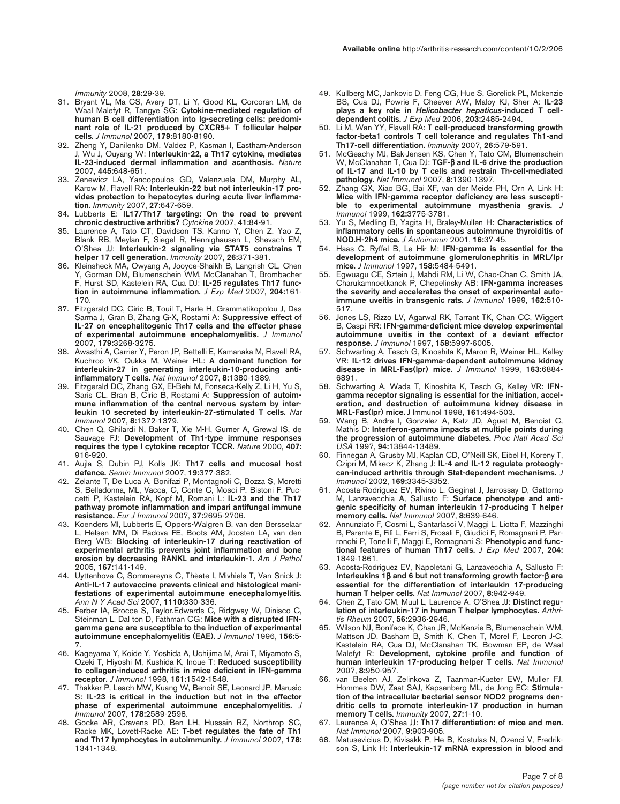*Immunity* 2008, **28:**29-39.

- 31. Bryant VL, Ma CS, Avery DT, Li Y, Good KL, Corcoran LM, de Waal Malefyt R, Tangye SG: **Cytokine-mediated regulation of human B cell differentiation into Ig-secreting cells: predominant role of IL-21 produced by CXCR5+ T follicular helper cells.** *J Immunol* 2007, **179:**8180-8190.
- 32. Zheng Y, Danilenko DM, Valdez P, Kasman I, Eastham-Anderson J, Wu J, Ouyang W: **Interleukin-22, a Th17 cytokine, mediates IL-23-induced dermal inflammation and acanthosis.** *Nature* 2007, **445:**648-651.
- 33. Zenewicz LA, Yancopoulos GD, Valenzuela DM, Murphy AL, Karow M, Flavell RA: **Interleukin-22 but not interleukin-17 provides protection to hepatocytes during acute liver inflammation.** *Immunity* 2007, **27:**647-659.
- 34. Lubberts E: **IL17/Th17 targeting: On the road to prevent chronic destructive arthritis?** *Cytokine* 2007, **41:**84-91.
- 35. Laurence A, Tato CT, Davidson TS, Kanno Y, Chen Z, Yao Z, Blank RB, Meylan F, Siegel R, Hennighausen L, Shevach EM, O'Shea JJ: **Interleukin-2 signaling via STAT5 constrains T helper 17 cell generation.** *Immunity* 2007, **26:**371-381.
- 36. Kleinsheck MA, Owyang A, Jooyce-Shaikh B, Langrish CL, Chen Y, Gorman DM, Blumenschein WM, McClanahan T, Brombacher F, Hurst SD, Kastelein RA, Cua DJ: **IL-25 regulates Th17 function in autoimmune inflammation.** *J Exp Med* 2007, **204:**161- 170.
- 37. Fitzgerald DC, Ciric B, Touil T, Harle H, Grammatikopolou J, Das Sarma J, Gran B, Zhang G-X, Rostami A: **Suppressive effect of IL-27 on encephalitogenic Th17 cells and the effector phase of experimental autoimmune encephalomyelitis.** *J Immunol* 2007, **179:**3268-3275.
- 38. Awasthi A, Carrier Y, Peron JP, Bettelli E, Kamanaka M, Flavell RA, Kuchroo VK, Oukka M, Weiner HL: **A dominant function for interleukin-27 in generating interleukin-10-producing antiinflammatory T cells.** *Nat Immunol* 2007, **8:**1380-1389.
- 39. Fitzgerald DC, Zhang GX, El-Behi M, Fonseca-Kelly Z, Li H, Yu S, Saris CL, Bran B, Ciric B, Rostami A: **Suppression of autoimmune inflammation of the central nervous system by interleukin 10 secreted by interleukin-27-stimulated T cells.** *Nat Immunol* 2007, **8:**1372-1379.
- 40. Chen Q, Ghilardi N, Baker T, Xie M-H, Gurner A, Grewal IS, de Sauvage FJ: **Development of Th1-type immune responses requires the type I cytokine receptor TCCR.** *Nature* 2000, **407:** 916-920.
- 41. Aujla S, Dubin PJ, Kolls JK: **Th17 cells and mucosal host defence.** *Semin Immunol* 2007, **19:**377-382.
- 42. Zelante T, De Luca A, Bonifazi P, Montagnoli C, Bozza S, Moretti S, Belladonna, ML, Vacca, C, Conte C, Mosci P, Bistoni F, Puccetti P, Kastelein RA, Kopf M, Romani L: **IL-23 and the Th17 pathway promote inflammation and impari antifungal immune resistance.** *Eur J Immunol* 2007, **37:**2695-2706.
- 43. Koenders MI, Lubberts E, Oppers-Walgren B, van den Bersselaar L, Helsen MM, Di Padova FE, Boots AM, Joosten LA, van den Berg WB: **Blocking of interleukin-17 during reactivation of experimental arthritis prevents joint inflammation and bone erosion by decreasing RANKL and interleukin-1.** *Am J Pathol* 2005, **167:**141-149.
- 44. Uyttenhove C, Sommereyns C, Thèate I, Mivhiels T, Van Snick J: **Anti-IL-17 autovaccine prevents clinical and histological manifestations of experimental autoimmune enecephalomyelitis.** *Ann N Y Acad Sci* 2007, **1110:**330-336.
- 45. Ferber IA, Brocce S, Taylor.Edwards C, Ridgway W, Dinisco C, Steinman L, Dal ton D, Fathman CG: **Mice with a disrupted IFNgamma gene are susceptible to the induction of experimental autoimmune encephalomyelitis (EAE).** *J Immunol* 1996, **156:**5- 7.
- 46. Kageyama Y, Koide Y, Yoshida A, Uchijima M, Arai T, Miyamoto S, Ozeki T, Hiyoshi M, Kushida K, Inoue T: **Reduced susceptibility to collagen-induced arthritis in mice deficient in IFN-gamma receptor.** *J Immunol* 1998, **161:**1542-1548.
- 47. Thakker P, Leach MW, Kuang W, Benoit SE, Leonard JP, Marusic S: **IL-23 is critical in the induction but not in the effector phase of experimental autoimmune encephalomyelitis.** *J Immunol* 2007, **178:**2589-2598.
- 48. Gocke AR, Cravens PD, Ben LH, Hussain RZ, Northrop SC, Racke MK, Lovett-Racke AE: **T-bet regulates the fate of Th1 and Th17 lymphocytes in autoimmunity.** *J Immunol* 2007, **178:** 1341-1348.
- 49. Kullberg MC, Jankovic D, Feng CG, Hue S, Gorelick PL, Mckenzie BS, Cua DJ, Powrie F, Cheever AW, Maloy KJ, Sher A: **IL-23 plays a key role in** *Helicobacter hepaticus***-induced T celldependent colitis.** *J Exp Med* 2006, **203:**2485-2494.
- 50. Li M, Wan YY, Flavell RA: **T cell-produced transforming growth factor-beta1 controls T cell tolerance and regulates Th1-and Th17-cell differentiation.** *Immunity* 2007, **26:**579-591.
- 51. McGeachy MJ, Bak-Jensen KS, Chen Y, Tato CM, Blumenschein W, McClanahan T, Cua DJ: **TGF-**β **and IL-6 drive the production of IL-17 and IL-10 by T cells and restrain Th-cell-mediated pathology.** *Nat Immunol* 2007, **8:**1390-1397.
- 52. Zhang GX, Xiao BG, Bai XF, van der Meide PH, Orn A, Link H: **Mice with IFN-gamma receptor deficiency are less susceptible to experimental autoimmune myasthenia gravis.** *J Immunol* 1999, **162:**3775-3781.
- 53. Yu S, Medling B, Yagita H, Braley-Mullen H: **Characteristics of inflammatory cells in spontaneous autoimmune thyroiditis of NOD.H-2h4 mice.** *J Autoimmun* 2001, **16:**37-45.
- 54. Haas C, Ryffel B, Le Hir M: **IFN-gamma is essential for the development of autoimmune glomerulonephritis in MRL/Ipr mice.** *J Immunol* 1997, **158:**5484-5491.
- 55. Egwuagu CE, Sztein J, Mahdi RM, Li W, Chao-Chan C, Smith JA, Charukamnoetkanok P, Chepelinsky AB: **IFN-gamma increases the severity and accelerates the onset of experimental autoimmune uveitis in transgenic rats.** *J Immunol* 1999, **162:**510- 517.
- 56. Jones LS, Rizzo LV, Agarwal RK, Tarrant TK, Chan CC, Wiggert B, Caspi RR: **IFN-gamma-deficient mice develop experimental autoimmune uveitis in the context of a deviant effector response.** *J Immunol* 1997, **158:**5997-6005.
- Schwarting A, Tesch G, Kinoshita K, Maron R, Weiner HL, Kelley VR: **IL-12 drives IFN-gamma-dependent autoimmune kidney disease in MRL-Fas(lpr) mice.** *J Immunol* 1999, **163:**6884- 6891.
- 58. Schwarting A, Wada T, Kinoshita K, Tesch G, Kelley VR: **IFNgamma receptor signaling is essential for the initiation, acceleration, and destruction of autoimmune kidney disease in MRL-Fas(lpr) mice.** J Immunol 1998, **161:**494-503.
- 59. Wang B, Andre I, Gonzalez A, Katz JD, Aguet M, Benoist C, Mathis D: **Interferon-gamma impacts at multiple points during the progression of autoimmune diabetes.** *Proc Natl Acad Sci USA* 1997, **94:**13844-13489.
- 60. Finnegan A, Grusby MJ, Kaplan CD, O'Neill SK, Eibel H, Koreny T, Czipri M, Mikecz K, Zhang J: **IL-4 and IL-12 regulate proteoglycan-induced arthritis through Stat-dependent mechanisms.** *J Immunol* 2002, **169:**3345-3352.
- 61. Acosta-Rodriguez EV, Rivino L, Geginat J, Jarrossay D, Gattorno M, Lanzavecchia A, Sallusto F: **Surface phenotype and antigenic specificity of human interleukin 17-producing T helper memory cells.** *Nat Immunol* 2007, **8:**639-646.
- 62. Annunziato F, Cosmi L, Santarlasci V, Maggi L, Liotta F, Mazzinghi B, Parente E, Filì L, Ferri S, Frosali F, Giudici F, Romagnani P, Parronchi P, Tonelli F, Maggi E, Romagnani S: **Phenotypic and functional features of human Th17 cells.** *J Exp Med* 2007, **204:** 1849-1861.
- 63. Acosta-Rodriguez EV, Napoletani G, Lanzavecchia A, Sallusto F: **Interleukins 1**β **and 6 but not transforming growth factor-**β **are essential for the differentiation of interleukin 17-producing human T helper cells.** *Nat Immunol* 2007, **8:**942-949.
- 64. Chen Z, Tato CM, Muul L, Laurence A, O'Shea JJ: **Distinct regulation of interleukin-17 in human T helper lymphocytes.** *Arthritis Rheum* 2007, **56:**2936-2946.
- 65. Wilson NJ, Boniface K, Chan JR, McKenzie B, Blumenschein WM, Mattson JD, Basham B, Smith K, Chen T, Morel F, Lecron J-C, Kastelein RA, Cua DJ, McClanahan TK, Bowman EP, de Waal Malefyt R: **Development, cytokine profile and function of human interleukin 17-producing helper T cells.** *Nat Immunol* 2007, **8:**950-957.
- van Beelen AJ, Zelinkova Z, Taanman-Kueter EW, Muller FJ, Hommes DW, Zaat SAJ, Kapsenberg ML, de Jong EC: **Stimulation of the intracellular bacterial sensor NOD2 programs dendritic cells to promote interleukin-17 production in human memory T cells.** *Immunity* 2007, **27:**1-10.
- 67. Laurence A, O'Shea JJ: **Th17 differentiation: of mice and men.** *Nat Immunol* 2007, **9:**903-905.
- 68. Matusevicius D, Kivisakk P, He B, Kostulas N, Ozenci V, Fredrikson S, Link H: **Interleukin-17 mRNA expression in blood and**